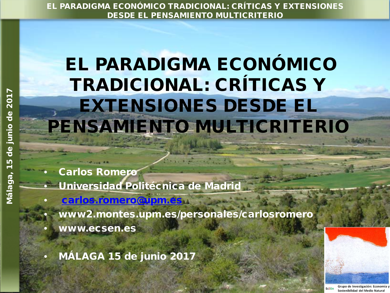# EL PARADIGMA ECONÓMICO TRADICIONAL: CRÍTICAS Y EXTENSIONES DESDE EL PENSAMIENTO MULTICRITERIO

• Carlos Romero

• Universidad Politécnica de Madrid

- [carlos.romero@upm.es](mailto:carlos.romero@upm.es)
- www2.montes.upm.es/personales/carlosromero
- www.ecsen.es
- MÁLAGA 15 de junio 2017

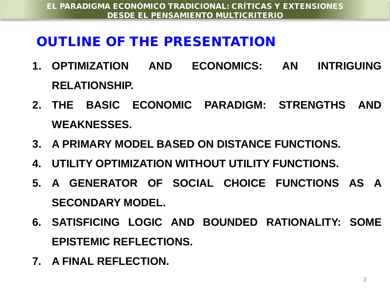# OUTLINE OF THE PRESENTATION

- **1. OPTIMIZATION AND ECONOMICS: AN INTRIGUING RELATIONSHIP.**
- **2. THE BASIC ECONOMIC PARADIGM: STRENGTHS AND WEAKNESSES.**
- **3. A PRIMARY MODEL BASED ON DISTANCE FUNCTIONS.**
- **4. UTILITY OPTIMIZATION WITHOUT UTILITY FUNCTIONS.**
- **5. A GENERATOR OF SOCIAL CHOICE FUNCTIONS AS A SECONDARY MODEL.**
- **6. SATISFICING LOGIC AND BOUNDED RATIONALITY: SOME EPISTEMIC REFLECTIONS.**
- **7. A FINAL REFLECTION.**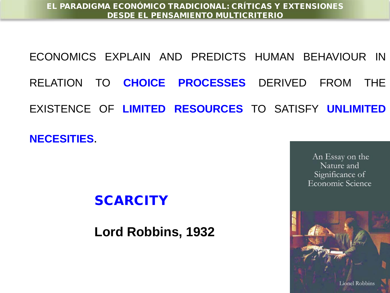ECONOMICS EXPLAIN AND PREDICTS HUMAN BEHAVIOUR IN RELATION TO **CHOICE PROCESSES** DERIVED FROM THE EXISTENCE OF **LIMITED RESOURCES** TO SATISFY **UNLIMITED**

**NECESITIES**.

## **SCARCITY**

**Lord Robbins, 1932**

An Essay on the Nature and Significance of Economic Science

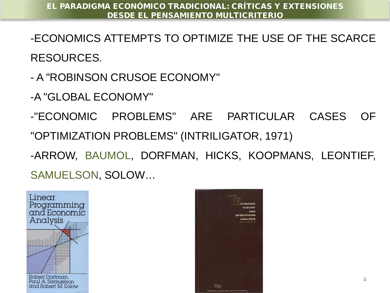- -ECONOMICS ATTEMPTS TO OPTIMIZE THE USE OF THE SCARCE RESOURCES.
- A "ROBINSON CRUSOE ECONOMY"
- -A "GLOBAL ECONOMY"

-"ECONOMIC PROBLEMS" ARE PARTICULAR CASES OF "OPTIMIZATION PROBLEMS" (INTRILIGATOR, 1971) -ARROW, BAUMOL, DORFMAN, HICKS, KOOPMANS, LEONTIEF, SAMUELSON, SOLOW…



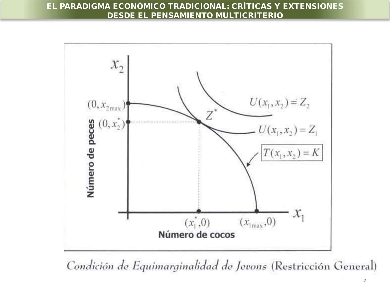

Condición de Equimarginalidad de Jevons (Restricción General)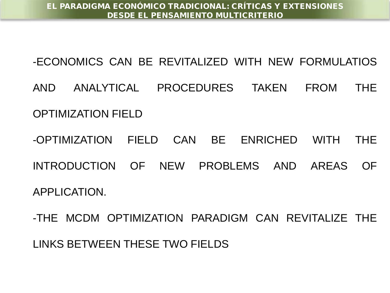-ECONOMICS CAN BE REVITALIZED WITH NEW FORMULATIOS

AND ANALYTICAL PROCEDURES TAKEN FROM THE OPTIMIZATION FIELD

-OPTIMIZATION FIELD CAN BE ENRICHED WITH THE INTRODUCTION OF NEW PROBLEMS AND AREAS OF APPLICATION.

-THE MCDM OPTIMIZATION PARADIGM CAN REVITALIZE THE LINKS BETWEEN THESE TWO FIELDS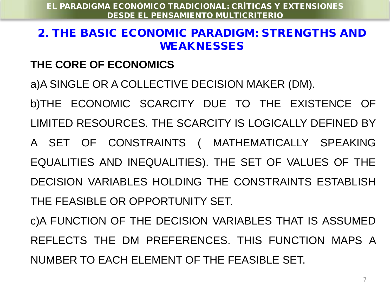#### 2. THE BASIC ECONOMIC PARADIGM: STRENGTHS AND WEAKNESSES

#### **THE CORE OF ECONOMICS**

a)A SINGLE OR A COLLECTIVE DECISION MAKER (DM).

b)THE ECONOMIC SCARCITY DUE TO THE EXISTENCE OF LIMITED RESOURCES. THE SCARCITY IS LOGICALLY DEFINED BY A SET OF CONSTRAINTS ( MATHEMATICALLY SPEAKING EQUALITIES AND INEQUALITIES). THE SET OF VALUES OF THE DECISION VARIABLES HOLDING THE CONSTRAINTS ESTABLISH THE FEASIBLE OR OPPORTUNITY SET.

c)A FUNCTION OF THE DECISION VARIABLES THAT IS ASSUMED REFLECTS THE DM PREFERENCES. THIS FUNCTION MAPS A NUMBER TO EACH ELEMENT OF THE FEASIBLE SET.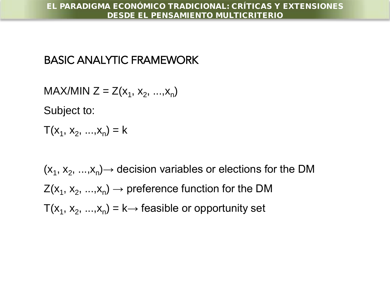### BASIC ANALYTIC FRAMEWORK

 $MAX/MIN Z = Z(x_1, x_2, ..., x_n)$ 

Subject to:

 $T(x_1, x_2, ..., x_n) = k$ 

 $(x_1, x_2, ..., x_n)$  decision variables or elections for the DM  $Z(x_1, x_2, ..., x_n) \rightarrow$  preference function for the DM  $T(x_1, x_2, ..., x_n) = k \rightarrow$  feasible or opportunity set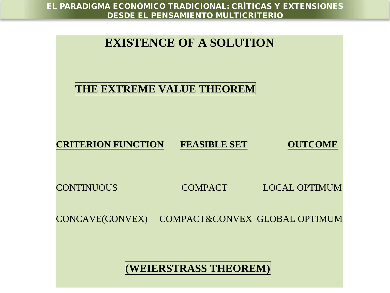

**(WEIERSTRASS THEOREM)**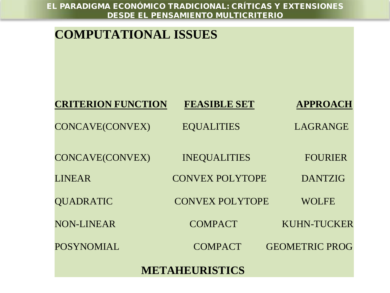| <b>COMPUTATIONAL ISSUES</b> |                        |                       |
|-----------------------------|------------------------|-----------------------|
| <b>CRITERION FUNCTION</b>   | <b>FEASIBLE SET</b>    | <b>APPROACH</b>       |
| <b>CONCAVE(CONVEX)</b>      | <b>EQUALITIES</b>      | LAGRANGE              |
| <b>CONCAVE(CONVEX)</b>      | <b>INEQUALITIES</b>    | <b>FOURIER</b>        |
| <b>LINEAR</b>               | <b>CONVEX POLYTOPE</b> | <b>DANTZIG</b>        |
| <b>QUADRATIC</b>            | <b>CONVEX POLYTOPE</b> | <b>WOLFE</b>          |
| <b>NON-LINEAR</b>           | <b>COMPACT</b>         | <b>KUHN-TUCKER</b>    |
| <b>POSYNOMIAL</b>           | <b>COMPACT</b>         | <b>GEOMETRIC PROG</b> |
| <b>METAHEURISTICS</b>       |                        |                       |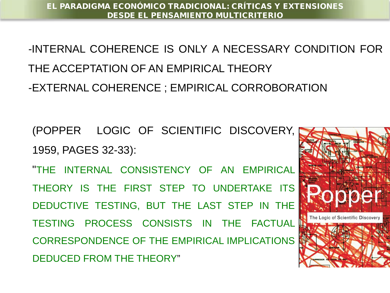-INTERNAL COHERENCE IS ONLY A NECESSARY CONDITION FOR THE ACCEPTATION OF AN EMPIRICAL THEORY -EXTERNAL COHERENCE ; EMPIRICAL CORROBORATION

(POPPER LOGIC OF SCIENTIFIC DISCOVERY, 1959, PAGES 32-33):

"THE INTERNAL CONSISTENCY OF AN EMPIRICAL THEORY IS THE FIRST STEP TO UNDERTAKE ITS DEDUCTIVE TESTING, BUT THE LAST STEP IN THE TESTING PROCESS CONSISTS IN THE FACTUAL CORRESPONDENCE OF THE EMPIRICAL IMPLICATIONS DEDUCED FROM THE THEORY"

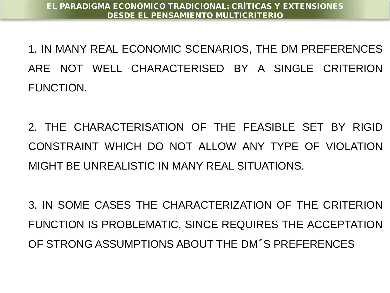1. IN MANY REAL ECONOMIC SCENARIOS, THE DM PREFERENCES ARE NOT WELL CHARACTERISED BY A SINGLE CRITERION FUNCTION.

2. THE CHARACTERISATION OF THE FEASIBLE SET BY RIGID CONSTRAINT WHICH DO NOT ALLOW ANY TYPE OF VIOLATION MIGHT BE UNREALISTIC IN MANY REAL SITUATIONS.

3. IN SOME CASES THE CHARACTERIZATION OF THE CRITERION FUNCTION IS PROBLEMATIC, SINCE REQUIRES THE ACCEPTATION OF STRONG ASSUMPTIONS ABOUT THE DM´S PREFERENCES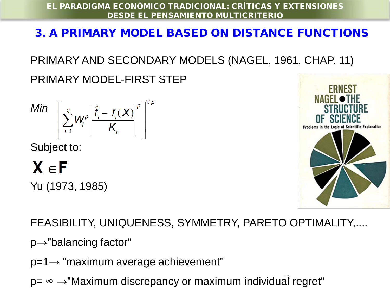## 3. A PRIMARY MODEL BASED ON DISTANCE FUNCTIONS

# PRIMARY AND SECONDARY MODELS (NAGEL, 1961, CHAP. 11)

PRIMARY MODEL-FIRST STEP

$$
\text{Min} \left[ \sum_{i=1}^{q} W_i^p \left| \frac{\hat{f}_i - f_i(X)}{K_i} \right|^p \right]^{1/p}
$$

Subject to:

# $X \in F$

Yu (1973, 1985)



## FEASIBILITY, UNIQUENESS, SYMMETRY, PARETO OPTIMALITY,....

p→"balancing factor"

- p=1→ "maximum average achievement"
- p= ∞ →"Maximum discrepancy or maximum individual regret"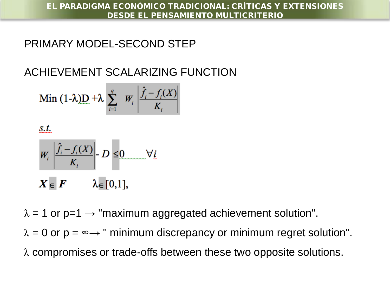#### PRIMARY MODEL-SECOND STEP

## ACHIEVEMENT SCALARIZING FUNCTION

$$
\text{Min } (1-\lambda)\mathbf{D} + \lambda \sum_{i=1}^{q} W_i \left| \frac{\hat{f}_i - f_i(X)}{K_i} \right|
$$

$$
\underline{s.t.}
$$

$$
W_i \left| \frac{\hat{f}_i - f_i(X)}{K_i} \right| - D \leq 0 \qquad \forall i
$$
  

$$
X = F \qquad \lambda = [0.11]
$$

 $\lambda = 1$  or p=1  $\rightarrow$  "maximum aggregated achievement solution".

 $\lambda = 0$  or  $p = \infty$  " minimum discrepancy or minimum regret solution".

λ compromises or trade-offs between these two opposite solutions.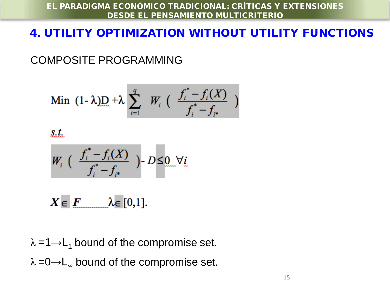### 4. UTILITY OPTIMIZATION WITHOUT UTILITY FUNCTIONS

COMPOSITE PROGRAMMING

Min 
$$
(1 - \lambda)\mathbf{D} + \lambda \sum_{i=1}^{q} W_i \left( \frac{f_i^* - f_i(X)}{f_i^* - f_{i^*}} \right)
$$

 $s.t.$ 

$$
W_i \left( \begin{array}{c} \frac{f_i^*-f_i(X)}{f_i^*-f_{i^*}} \end{array} \right) - D \leq \underbrace{0 \quad \forall i}.
$$

 $X \in F$   $\lambda \in [0,1].$ 

 $\lambda = 1 \rightarrow L_1$  bound of the compromise set.  $\lambda = 0 \rightarrow L_{\infty}$  bound of the compromise set.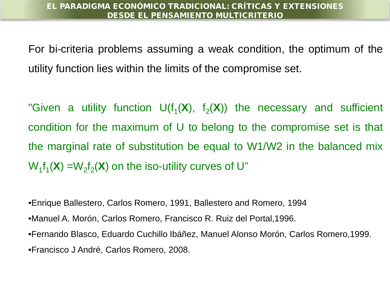For bi-criteria problems assuming a weak condition, the optimum of the utility function lies within the limits of the compromise set.

"Given a utility function  $U(f_1(X), f_2(X))$  the necessary and sufficient condition for the maximum of U to belong to the compromise set is that the marginal rate of substitution be equal to W1/W2 in the balanced mix  $W_1f_1(\mathbf{X}) = W_2f_2(\mathbf{X})$  on the iso-utility curves of U"

•Enrique Ballestero, Carlos Romero, 1991, Ballestero and Romero, 1994

- •Manuel A. Morón, Carlos Romero, Francisco R. Ruiz del Portal,1996.
- •Fernando Blasco, Eduardo Cuchillo Ibáñez, Manuel Alonso Morón, Carlos Romero,1999. •Francisco J André, Carlos Romero, 2008.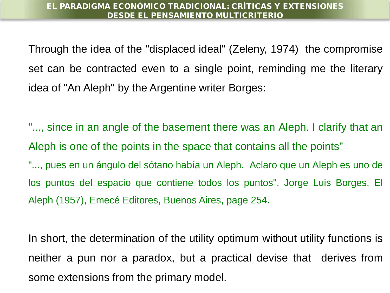Through the idea of the "displaced ideal" (Zeleny, 1974) the compromise set can be contracted even to a single point, reminding me the literary idea of "An Aleph" by the Argentine writer Borges:

"..., since in an angle of the basement there was an Aleph. I clarify that an Aleph is one of the points in the space that contains all the points" "..., pues en un ángulo del sótano había un Aleph. Aclaro que un Aleph es uno de los puntos del espacio que contiene todos los puntos". Jorge Luis Borges, El Aleph (1957), Emecé Editores, Buenos Aires, page 254.

In short, the determination of the utility optimum without utility functions is neither a pun nor a paradox, but a practical devise that derives from some extensions from the primary model.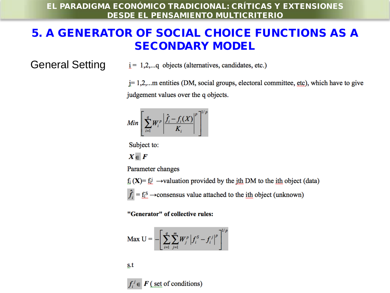#### 5. A GENERATOR OF SOCIAL CHOICE FUNCTIONS AS A SECONDARY MODEL

#### General Setting

 $i = 1, 2, \ldots$ q objects (alternatives, candidates, etc.)

j= 1,2,...m entities (DM, social groups, electoral committee, etc), which have to give judgement values over the q objects.

$$
Min\left[\sum_{i=1}^{q}W_{i}^{p}\left|\frac{\hat{f}_{i}-f_{i}(X)}{K_{i}}\right|^{p}\right]^{1/p}
$$

Subject to:

 $X \in F$ 

Parameter changes

 $f_i(X) = f_i^j \rightarrow$ valuation provided by the jth DM to the ith object (data)

 $\hat{f}_i = \underline{f_i}^S \rightarrow$ consensus value attached to the <u>ith</u> object (unknown)

"Generator" of collective rules:

$$
\mathbf{Max} \mathbf{U} = -\left[ \sum_{i=1}^{q} \sum_{j=1}^{m} W_{j}^{p} \left| f_{i}^{S} - f_{i}^{j} \right|^{p} \right]^{1/p}
$$

s.t

 $f_i^j \in F$  (set of conditions)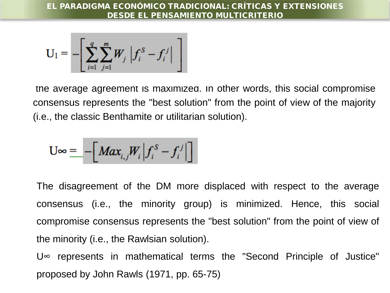$$
\mathbf{U}_1 = -\left[\sum_{i=1}^q \sum_{j=1}^m W_j \left| f_i^S - f_i^j \right| \right]
$$

the average agreement is maximized. In other words, this social compromise consensus represents the "best solution" from the point of view of the majority (i.e., the classic Benthamite or utilitarian solution).

$$
U \infty = -\Big[ Max_{i,j} W_i \Big| f_i^S - f_i^j \Big| \Big]
$$

The disagreement of the DM more displaced with respect to the average consensus (i.e., the minority group) is minimized. Hence, this social compromise consensus represents the "best solution" from the point of view of the minority (i.e., the Rawlsian solution).

U∞ represents in mathematical terms the "Second Principle of Justice" proposed by John Rawls (1971, pp. 65-75)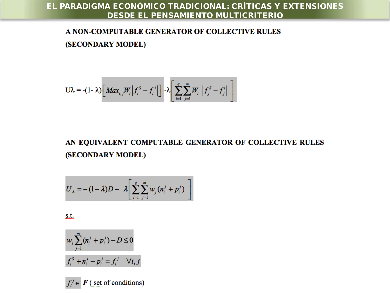#### A NON-COMPUTABLE GENERATOR OF COLLECTIVE RULES (SECONDARY MODEL)

$$
U\lambda = -(1-\lambda)\bigg[ Max_{i,j}W_i \Big| f_i^S - f_i^j \Big| \bigg] - \lambda \bigg[ \sum_{i=1}^q \sum_{j=1}^m W_i \Big| f_j^S - f_i^i \Big| \bigg]
$$

#### AN EQUIVALENT COMPUTABLE GENERATOR OF COLLECTIVE RULES (SECONDARY MODEL)

$$
U_{\lambda} = -(1-\lambda)D - \lambda \left[ \sum_{i=1}^{q} \sum_{j=1}^{m} w_j (n_i^j + p_i^j) \right]
$$

 $S_t$ .

$$
w_j \sum_{j=1}^{m} (n_i^j + p_i^j) - D \le 0
$$
  

$$
f_i^S + n_i^j - p_i^j = f_i^j \quad \forall i, j
$$

 $f_i^j \in \mathbf{F}$  (set of conditions)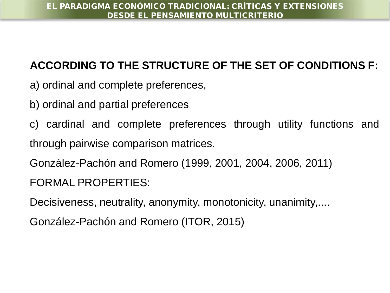## **ACCORDING TO THE STRUCTURE OF THE SET OF CONDITIONS F:**

- a) ordinal and complete preferences,
- b) ordinal and partial preferences
- c) cardinal and complete preferences through utility functions and through pairwise comparison matrices.

González-Pachón and Romero (1999, 2001, 2004, 2006, 2011)

FORMAL PROPERTIES:

Decisiveness, neutrality, anonymity, monotonicity, unanimity,....

González-Pachón and Romero (ITOR, 2015)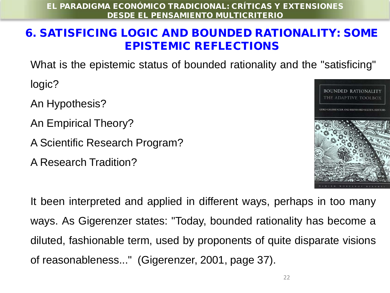### 6. SATISFICING LOGIC AND BOUNDED RATIONALITY: SOME EPISTEMIC REFLECTIONS

What is the epistemic status of bounded rationality and the "satisficing"

logic?

An Hypothesis?

An Empirical Theory?

A Scientific Research Program?

A Research Tradition?



It been interpreted and applied in different ways, perhaps in too many ways. As Gigerenzer states: "Today, bounded rationality has become a diluted, fashionable term, used by proponents of quite disparate visions of reasonableness..." (Gigerenzer, 2001, page 37).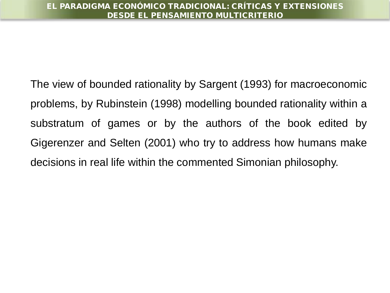The view of bounded rationality by Sargent (1993) for macroeconomic problems, by Rubinstein (1998) modelling bounded rationality within a substratum of games or by the authors of the book edited by Gigerenzer and Selten (2001) who try to address how humans make decisions in real life within the commented Simonian philosophy.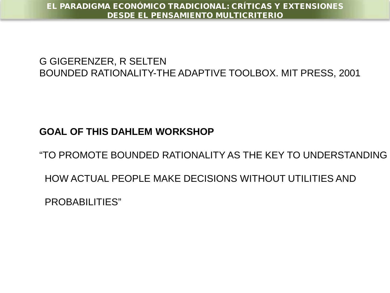#### G GIGERENZER, R SELTEN BOUNDED RATIONALITY-THE ADAPTIVE TOOLBOX. MIT PRESS, 2001

#### **GOAL OF THIS DAHLEM WORKSHOP**

"TO PROMOTE BOUNDED RATIONALITY AS THE KEY TO UNDERSTANDING

HOW ACTUAL PEOPLE MAKE DECISIONS WITHOUT UTILITIES AND

PROBABILITIES"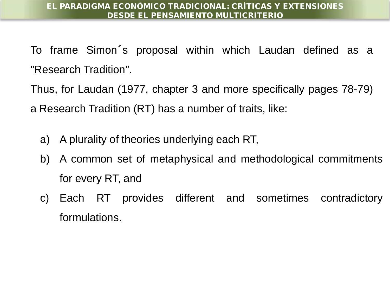To frame Simon´s proposal within which Laudan defined as a "Research Tradition".

Thus, for Laudan (1977, chapter 3 and more specifically pages 78-79) a Research Tradition (RT) has a number of traits, like:

- a) A plurality of theories underlying each RT,
- b) A common set of metaphysical and methodological commitments for every RT, and
- c) Each RT provides different and sometimes contradictory formulations.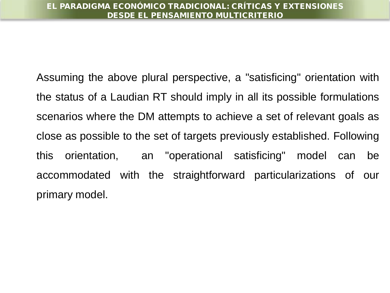Assuming the above plural perspective, a "satisficing" orientation with the status of a Laudian RT should imply in all its possible formulations scenarios where the DM attempts to achieve a set of relevant goals as close as possible to the set of targets previously established. Following this orientation, an "operational satisficing" model can be accommodated with the straightforward particularizations of our primary model.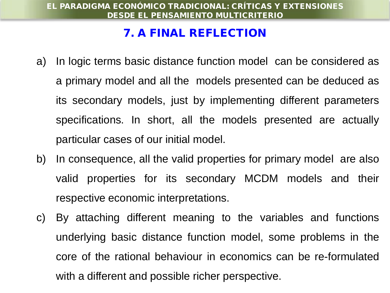#### 7. A FINAL REFLECTION

- a) In logic terms basic distance function model can be considered as a primary model and all the models presented can be deduced as its secondary models, just by implementing different parameters specifications. In short, all the models presented are actually particular cases of our initial model.
- b) In consequence, all the valid properties for primary model are also valid properties for its secondary MCDM models and their respective economic interpretations.
- c) By attaching different meaning to the variables and functions underlying basic distance function model, some problems in the core of the rational behaviour in economics can be re-formulated with a different and possible richer perspective.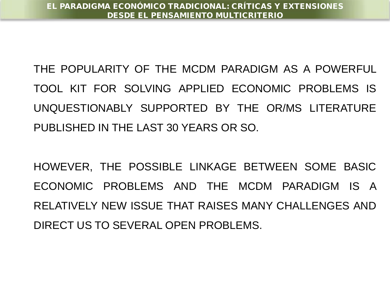THE POPULARITY OF THE MCDM PARADIGM AS A POWERFUL TOOL KIT FOR SOLVING APPLIED ECONOMIC PROBLEMS IS UNQUESTIONABLY SUPPORTED BY THE OR/MS LITERATURE PUBLISHED IN THE LAST 30 YEARS OR SO.

HOWEVER, THE POSSIBLE LINKAGE BETWEEN SOME BASIC ECONOMIC PROBLEMS AND THE MCDM PARADIGM IS A RELATIVELY NEW ISSUE THAT RAISES MANY CHALLENGES AND DIRECT US TO SEVERAL OPEN PROBLEMS.